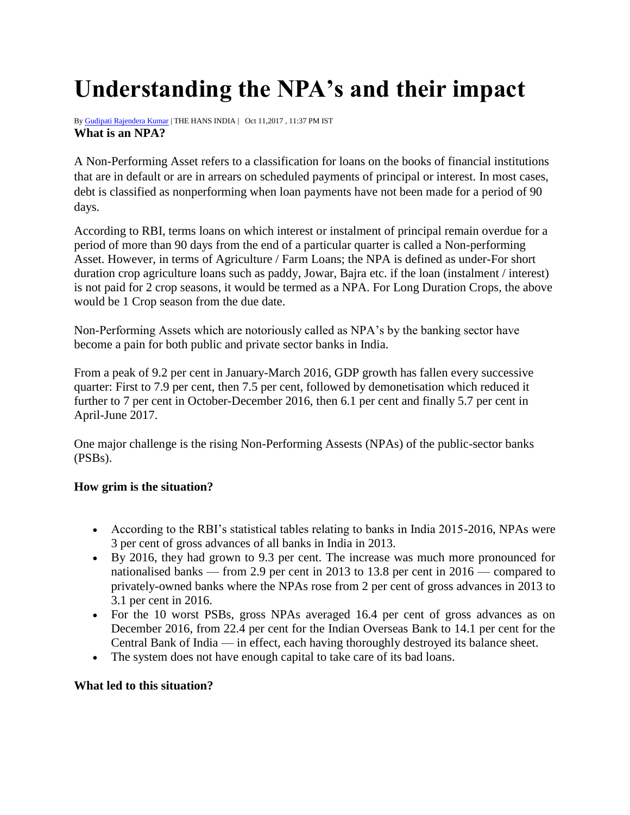# **Understanding the NPA's and their impact**

B[y Gudipati Rajendera Kumar](http://www.thehansindia.com/home/authors_posts/Gudipati-Rajendera-Kumar/419) | THE HANS INDIA | Oct 11,2017 , 11:37 PM IST **What is an NPA?**

A Non-Performing Asset refers to a classification for loans on the books of financial institutions that are in default or are in arrears on scheduled payments of principal or interest. In most cases, debt is classified as nonperforming when loan payments have not been made for a period of 90 days.

According to RBI, terms loans on which interest or instalment of principal remain overdue for a period of more than 90 days from the end of a particular quarter is called a Non-performing Asset. However, in terms of Agriculture / Farm Loans; the NPA is defined as under-For short duration crop agriculture loans such as paddy, Jowar, Bajra etc. if the loan (instalment / interest) is not paid for 2 crop seasons, it would be termed as a NPA. For Long Duration Crops, the above would be 1 Crop season from the due date.

Non-Performing Assets which are notoriously called as NPA's by the banking sector have become a pain for both public and private sector banks in India.

From a peak of 9.2 per cent in January-March 2016, GDP growth has fallen every successive quarter: First to 7.9 per cent, then 7.5 per cent, followed by demonetisation which reduced it further to 7 per cent in October-December 2016, then 6.1 per cent and finally 5.7 per cent in April-June 2017.

One major challenge is the rising Non-Performing Assests (NPAs) of the public-sector banks (PSBs).

# **How grim is the situation?**

- According to the RBI's statistical tables relating to banks in India 2015-2016, NPAs were 3 per cent of gross advances of all banks in India in 2013.
- By 2016, they had grown to 9.3 per cent. The increase was much more pronounced for nationalised banks — from 2.9 per cent in 2013 to 13.8 per cent in 2016 — compared to privately-owned banks where the NPAs rose from 2 per cent of gross advances in 2013 to 3.1 per cent in 2016.
- For the 10 worst PSBs, gross NPAs averaged 16.4 per cent of gross advances as on December 2016, from 22.4 per cent for the Indian Overseas Bank to 14.1 per cent for the Central Bank of India — in effect, each having thoroughly destroyed its balance sheet.
- The system does not have enough capital to take care of its bad loans.

## **What led to this situation?**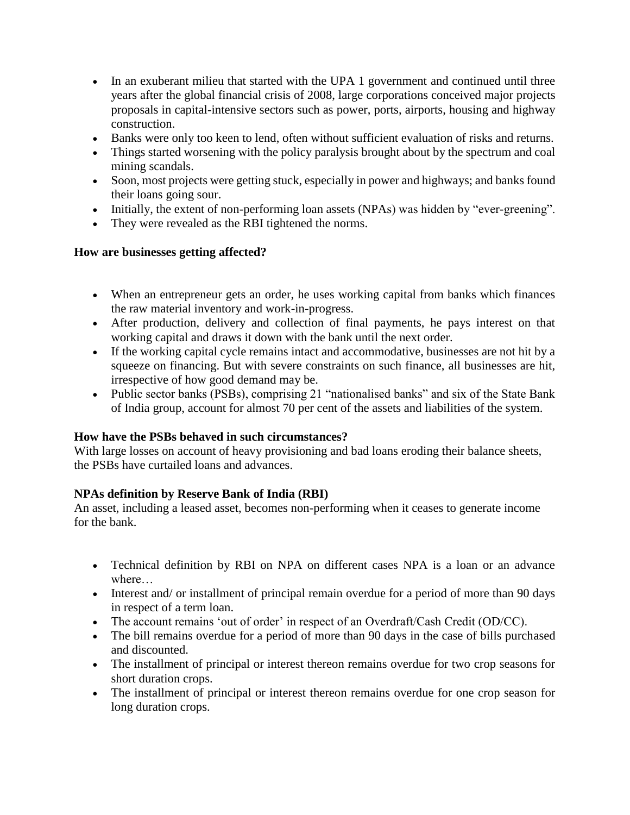- In an exuberant milieu that started with the UPA 1 government and continued until three years after the global financial crisis of 2008, large corporations conceived major projects proposals in capital-intensive sectors such as power, ports, airports, housing and highway construction.
- Banks were only too keen to lend, often without sufficient evaluation of risks and returns.
- Things started worsening with the policy paralysis brought about by the spectrum and coal mining scandals.
- Soon, most projects were getting stuck, especially in power and highways; and banks found their loans going sour.
- Initially, the extent of non-performing loan assets (NPAs) was hidden by "ever-greening".
- They were revealed as the RBI tightened the norms.

## **How are businesses getting affected?**

- When an entrepreneur gets an order, he uses working capital from banks which finances the raw material inventory and work-in-progress.
- After production, delivery and collection of final payments, he pays interest on that working capital and draws it down with the bank until the next order.
- If the working capital cycle remains intact and accommodative, businesses are not hit by a squeeze on financing. But with severe constraints on such finance, all businesses are hit, irrespective of how good demand may be.
- Public sector banks (PSBs), comprising 21 "nationalised banks" and six of the State Bank of India group, account for almost 70 per cent of the assets and liabilities of the system.

## **How have the PSBs behaved in such circumstances?**

With large losses on account of heavy provisioning and bad loans eroding their balance sheets, the PSBs have curtailed loans and advances.

## **NPAs definition by Reserve Bank of India (RBI)**

An asset, including a leased asset, becomes non-performing when it ceases to generate income for the bank.

- Technical definition by RBI on NPA on different cases NPA is a loan or an advance where…
- Interest and/ or installment of principal remain overdue for a period of more than 90 days in respect of a term loan.
- The account remains 'out of order' in respect of an Overdraft/Cash Credit (OD/CC).
- The bill remains overdue for a period of more than 90 days in the case of bills purchased and discounted.
- The installment of principal or interest thereon remains overdue for two crop seasons for short duration crops.
- The installment of principal or interest thereon remains overdue for one crop season for long duration crops.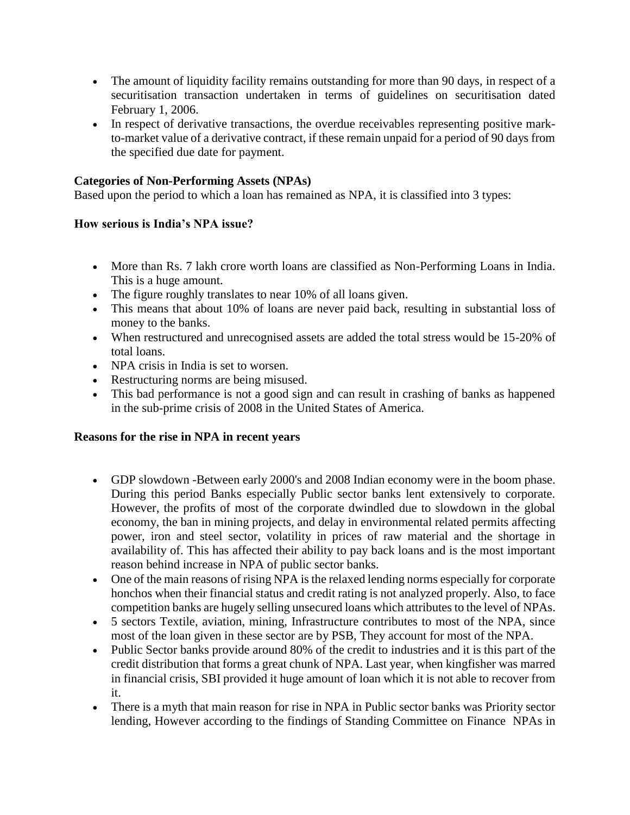- The amount of liquidity facility remains outstanding for more than 90 days, in respect of a securitisation transaction undertaken in terms of guidelines on securitisation dated February 1, 2006.
- In respect of derivative transactions, the overdue receivables representing positive markto-market value of a derivative contract, if these remain unpaid for a period of 90 days from the specified due date for payment.

## **Categories of Non-Performing Assets (NPAs)**

Based upon the period to which a loan has remained as NPA, it is classified into 3 types:

#### **How serious is India's NPA issue?**

- More than Rs. 7 lakh crore worth loans are classified as Non-Performing Loans in India. This is a huge amount.
- The figure roughly translates to near 10% of all loans given.
- This means that about 10% of loans are never paid back, resulting in substantial loss of money to the banks.
- When restructured and unrecognised assets are added the total stress would be 15-20% of total loans.
- NPA crisis in India is set to worsen.
- Restructuring norms are being misused.
- This bad performance is not a good sign and can result in crashing of banks as happened in the sub-prime crisis of 2008 in the United States of America.

#### **Reasons for the rise in NPA in recent years**

- GDP slowdown -Between early 2000's and 2008 Indian economy were in the boom phase. During this period Banks especially Public sector banks lent extensively to corporate. However, the profits of most of the corporate dwindled due to slowdown in the global economy, the ban in mining projects, and delay in environmental related permits affecting power, iron and steel sector, volatility in prices of raw material and the shortage in availability of. This has affected their ability to pay back loans and is the most important reason behind increase in NPA of public sector banks.
- One of the main reasons of rising NPA is the relaxed lending norms especially for corporate honchos when their financial status and credit rating is not analyzed properly. Also, to face competition banks are hugely selling unsecured loans which attributes to the level of NPAs.
- 5 sectors Textile, aviation, mining, Infrastructure contributes to most of the NPA, since most of the loan given in these sector are by PSB, They account for most of the NPA.
- Public Sector banks provide around 80% of the credit to industries and it is this part of the credit distribution that forms a great chunk of NPA. Last year, when kingfisher was marred in financial crisis, SBI provided it huge amount of loan which it is not able to recover from it.
- There is a myth that main reason for rise in NPA in Public sector banks was Priority sector lending, However according to the findings of Standing Committee on Finance NPAs in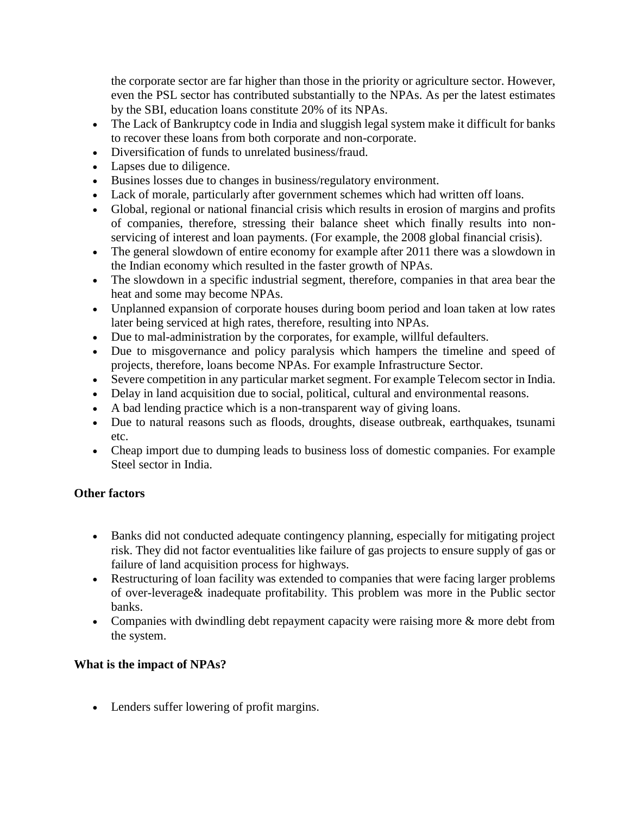the corporate sector are far higher than those in the priority or agriculture sector. However, even the PSL sector has contributed substantially to the NPAs. As per the latest estimates by the SBI, education loans constitute 20% of its NPAs.

- The Lack of Bankruptcy code in India and sluggish legal system make it difficult for banks to recover these loans from both corporate and non-corporate.
- Diversification of funds to unrelated business/fraud.
- Lapses due to diligence.
- Busines losses due to changes in business/regulatory environment.
- Lack of morale, particularly after government schemes which had written off loans.
- Global, regional or national financial crisis which results in erosion of margins and profits of companies, therefore, stressing their balance sheet which finally results into nonservicing of interest and loan payments. (For example, the 2008 global financial crisis).
- The general slowdown of entire economy for example after 2011 there was a slowdown in the Indian economy which resulted in the faster growth of NPAs.
- The slowdown in a specific industrial segment, therefore, companies in that area bear the heat and some may become NPAs.
- Unplanned expansion of corporate houses during boom period and loan taken at low rates later being serviced at high rates, therefore, resulting into NPAs.
- Due to mal-administration by the corporates, for example, willful defaulters.
- Due to misgovernance and policy paralysis which hampers the timeline and speed of projects, therefore, loans become NPAs. For example Infrastructure Sector.
- Severe competition in any particular market segment. For example Telecom sector in India.
- Delay in land acquisition due to social, political, cultural and environmental reasons.
- A bad lending practice which is a non-transparent way of giving loans.
- Due to natural reasons such as floods, droughts, disease outbreak, earthquakes, tsunami etc.
- Cheap import due to dumping leads to business loss of domestic companies. For example Steel sector in India.

## **Other factors**

- Banks did not conducted adequate contingency planning, especially for mitigating project risk. They did not factor eventualities like failure of gas projects to ensure supply of gas or failure of land acquisition process for highways.
- Restructuring of loan facility was extended to companies that were facing larger problems of over-leverage& inadequate profitability. This problem was more in the Public sector banks.
- Companies with dwindling debt repayment capacity were raising more & more debt from the system.

# **What is the impact of NPAs?**

Lenders suffer lowering of profit margins.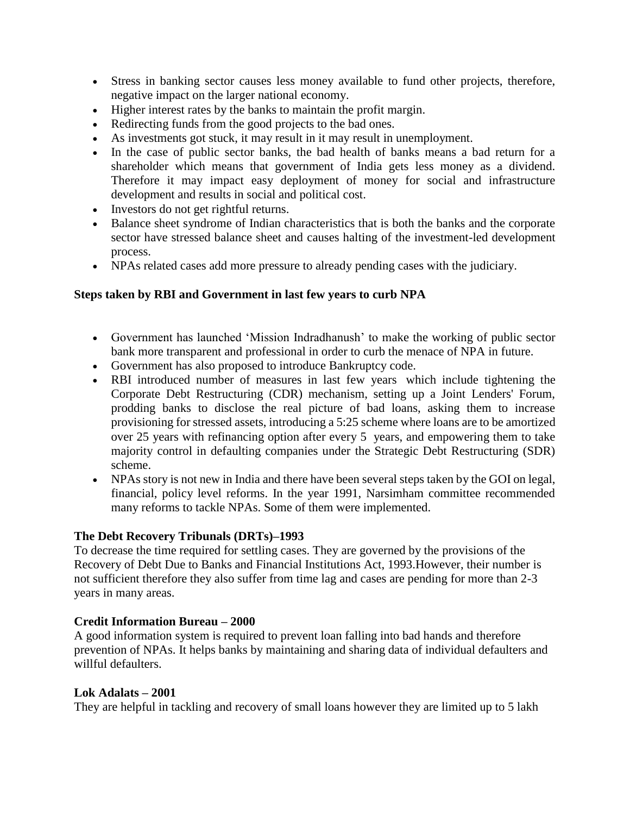- Stress in banking sector causes less money available to fund other projects, therefore, negative impact on the larger national economy.
- Higher interest rates by the banks to maintain the profit margin.
- Redirecting funds from the good projects to the bad ones.
- As investments got stuck, it may result in it may result in unemployment.
- In the case of public sector banks, the bad health of banks means a bad return for a shareholder which means that government of India gets less money as a dividend. Therefore it may impact easy deployment of money for social and infrastructure development and results in social and political cost.
- Investors do not get rightful returns.
- Balance sheet syndrome of Indian characteristics that is both the banks and the corporate sector have stressed balance sheet and causes halting of the investment-led development process.
- NPAs related cases add more pressure to already pending cases with the judiciary.

## **Steps taken by RBI and Government in last few years to curb NPA**

- Government has launched 'Mission Indradhanush' to make the working of public sector bank more transparent and professional in order to curb the menace of NPA in future.
- Government has also proposed to introduce Bankruptcy code.
- RBI introduced number of measures in last few years which include tightening the Corporate Debt Restructuring (CDR) mechanism, setting up a Joint Lenders' Forum, prodding banks to disclose the real picture of bad loans, asking them to increase provisioning for stressed assets, introducing a 5:25 scheme where loans are to be amortized over 25 years with refinancing option after every 5 years, and empowering them to take majority control in defaulting companies under the Strategic Debt Restructuring (SDR) scheme.
- NPAs story is not new in India and there have been several steps taken by the GOI on legal, financial, policy level reforms. In the year 1991, Narsimham committee recommended many reforms to tackle NPAs. Some of them were implemented.

## **The Debt Recovery Tribunals (DRTs)–1993**

To decrease the time required for settling cases. They are governed by the provisions of the Recovery of Debt Due to Banks and Financial Institutions Act, 1993.However, their number is not sufficient therefore they also suffer from time lag and cases are pending for more than 2-3 years in many areas.

## **Credit Information Bureau – 2000**

A good information system is required to prevent loan falling into bad hands and therefore prevention of NPAs. It helps banks by maintaining and sharing data of individual defaulters and willful defaulters.

## **Lok Adalats – 2001**

They are helpful in tackling and recovery of small loans however they are limited up to 5 lakh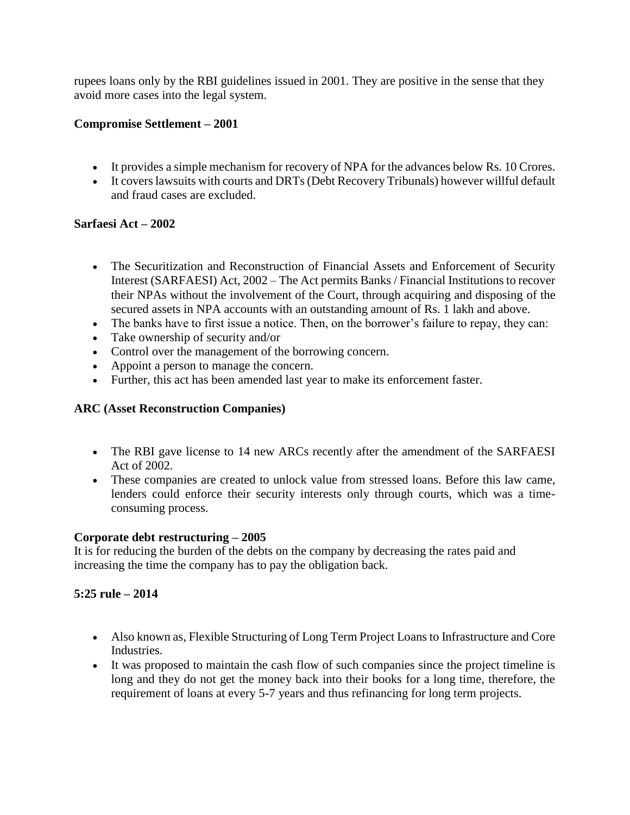rupees loans only by the RBI guidelines issued in 2001. They are positive in the sense that they avoid more cases into the legal system.

# **Compromise Settlement – 2001**

- It provides a simple mechanism for recovery of NPA for the advances below Rs. 10 Crores.
- It covers lawsuits with courts and DRTs (Debt Recovery Tribunals) however willful default and fraud cases are excluded.

## **Sarfaesi Act – 2002**

- The Securitization and Reconstruction of Financial Assets and Enforcement of Security Interest (SARFAESI) Act, 2002 – The Act permits Banks / Financial Institutions to recover their NPAs without the involvement of the Court, through acquiring and disposing of the secured assets in NPA accounts with an outstanding amount of Rs. 1 lakh and above.
- The banks have to first issue a notice. Then, on the borrower's failure to repay, they can:
- Take ownership of security and/or
- Control over the management of the borrowing concern.
- Appoint a person to manage the concern.
- Further, this act has been amended last year to make its enforcement faster.

## **ARC (Asset Reconstruction Companies)**

- The RBI gave license to 14 new ARCs recently after the amendment of the SARFAESI Act of 2002.
- These companies are created to unlock value from stressed loans. Before this law came, lenders could enforce their security interests only through courts, which was a timeconsuming process.

## **Corporate debt restructuring – 2005**

It is for reducing the burden of the debts on the company by decreasing the rates paid and increasing the time the company has to pay the obligation back.

# **5:25 rule – 2014**

- Also known as, Flexible Structuring of Long Term Project Loans to Infrastructure and Core Industries.
- It was proposed to maintain the cash flow of such companies since the project timeline is long and they do not get the money back into their books for a long time, therefore, the requirement of loans at every 5-7 years and thus refinancing for long term projects.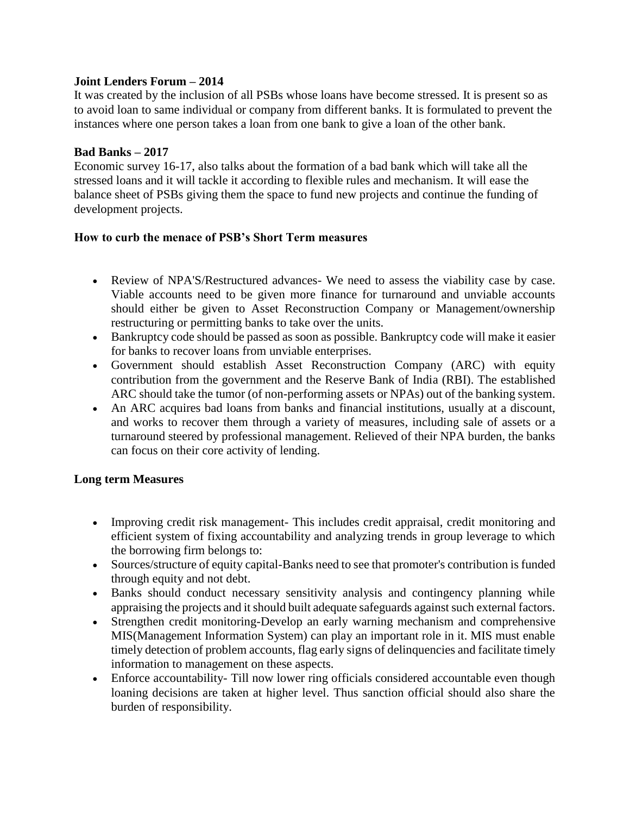#### **Joint Lenders Forum – 2014**

It was created by the inclusion of all PSBs whose loans have become stressed. It is present so as to avoid loan to same individual or company from different banks. It is formulated to prevent the instances where one person takes a loan from one bank to give a loan of the other bank.

#### **Bad Banks – 2017**

Economic survey 16-17, also talks about the formation of a bad bank which will take all the stressed loans and it will tackle it according to flexible rules and mechanism. It will ease the balance sheet of PSBs giving them the space to fund new projects and continue the funding of development projects.

#### **How to curb the menace of PSB's Short Term measures**

- Review of NPA'S/Restructured advances- We need to assess the viability case by case. Viable accounts need to be given more finance for turnaround and unviable accounts should either be given to Asset Reconstruction Company or Management/ownership restructuring or permitting banks to take over the units.
- Bankruptcy code should be passed as soon as possible. Bankruptcy code will make it easier for banks to recover loans from unviable enterprises.
- Government should establish Asset Reconstruction Company (ARC) with equity contribution from the government and the Reserve Bank of India (RBI). The established ARC should take the tumor (of non-performing assets or NPAs) out of the banking system.
- An ARC acquires bad loans from banks and financial institutions, usually at a discount, and works to recover them through a variety of measures, including sale of assets or a turnaround steered by professional management. Relieved of their NPA burden, the banks can focus on their core activity of lending.

## **Long term Measures**

- Improving credit risk management-This includes credit appraisal, credit monitoring and efficient system of fixing accountability and analyzing trends in group leverage to which the borrowing firm belongs to:
- Sources/structure of equity capital-Banks need to see that promoter's contribution is funded through equity and not debt.
- Banks should conduct necessary sensitivity analysis and contingency planning while appraising the projects and it should built adequate safeguards against such external factors.
- Strengthen credit monitoring-Develop an early warning mechanism and comprehensive MIS(Management Information System) can play an important role in it. MIS must enable timely detection of problem accounts, flag early signs of delinquencies and facilitate timely information to management on these aspects.
- Enforce accountability- Till now lower ring officials considered accountable even though loaning decisions are taken at higher level. Thus sanction official should also share the burden of responsibility.